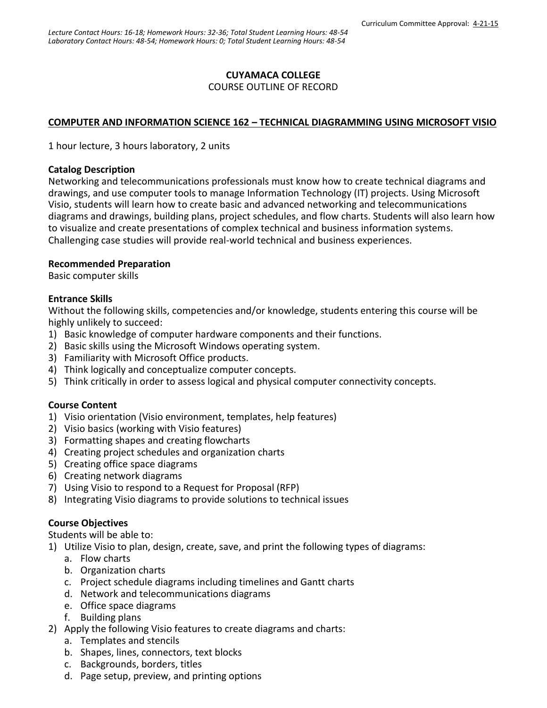# **CUYAMACA COLLEGE**

### COURSE OUTLINE OF RECORD

# **COMPUTER AND INFORMATION SCIENCE 162 – TECHNICAL DIAGRAMMING USING MICROSOFT VISIO**

1 hour lecture, 3 hours laboratory, 2 units

#### **Catalog Description**

Networking and telecommunications professionals must know how to create technical diagrams and drawings, and use computer tools to manage Information Technology (IT) projects. Using Microsoft Visio, students will learn how to create basic and advanced networking and telecommunications diagrams and drawings, building plans, project schedules, and flow charts. Students will also learn how to visualize and create presentations of complex technical and business information systems. Challenging case studies will provide real-world technical and business experiences.

## **Recommended Preparation**

Basic computer skills

### **Entrance Skills**

Without the following skills, competencies and/or knowledge, students entering this course will be highly unlikely to succeed:

- 1) Basic knowledge of computer hardware components and their functions.
- 2) Basic skills using the Microsoft Windows operating system.
- 3) Familiarity with Microsoft Office products.
- 4) Think logically and conceptualize computer concepts.
- 5) Think critically in order to assess logical and physical computer connectivity concepts.

## **Course Content**

- 1) Visio orientation (Visio environment, templates, help features)
- 2) Visio basics (working with Visio features)
- 3) Formatting shapes and creating flowcharts
- 4) Creating project schedules and organization charts
- 5) Creating office space diagrams
- 6) Creating network diagrams
- 7) Using Visio to respond to a Request for Proposal (RFP)
- 8) Integrating Visio diagrams to provide solutions to technical issues

## **Course Objectives**

Students will be able to:

- 1) Utilize Visio to plan, design, create, save, and print the following types of diagrams:
	- a. Flow charts
	- b. Organization charts
	- c. Project schedule diagrams including timelines and Gantt charts
	- d. Network and telecommunications diagrams
	- e. Office space diagrams
	- f. Building plans
- 2) Apply the following Visio features to create diagrams and charts:
	- a. Templates and stencils
	- b. Shapes, lines, connectors, text blocks
	- c. Backgrounds, borders, titles
	- d. Page setup, preview, and printing options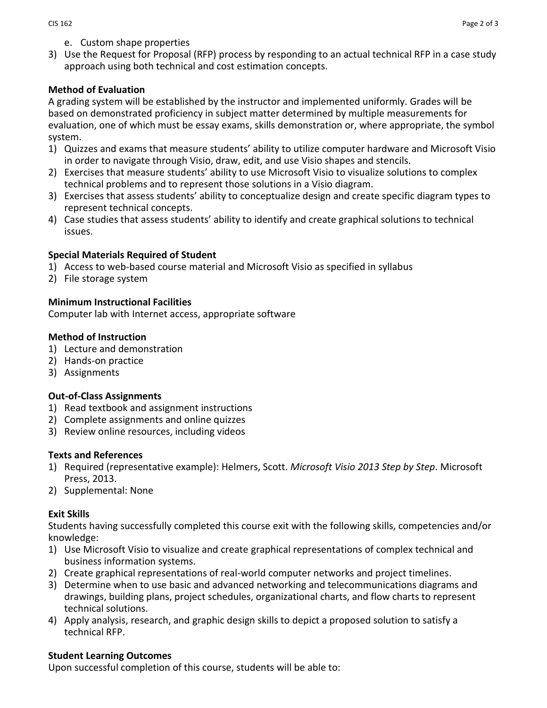- e. Custom shape properties
- 3) Use the Request for Proposal (RFP) process by responding to an actual technical RFP in a case study approach using both technical and cost estimation concepts.

## **Method of Evaluation**

A grading system will be established by the instructor and implemented uniformly. Grades will be based on demonstrated proficiency in subject matter determined by multiple measurements for evaluation, one of which must be essay exams, skills demonstration or, where appropriate, the symbol system.

- 1) Quizzes and exams that measure students' ability to utilize computer hardware and Microsoft Visio in order to navigate through Visio, draw, edit, and use Visio shapes and stencils.
- 2) Exercises that measure students' ability to use Microsoft Visio to visualize solutions to complex technical problems and to represent those solutions in a Visio diagram.
- 3) Exercises that assess students' ability to conceptualize design and create specific diagram types to represent technical concepts.
- 4) Case studies that assess students' ability to identify and create graphical solutions to technical issues.

### **Special Materials Required of Student**

- 1) Access to web-based course material and Microsoft Visio as specified in syllabus
- 2) File storage system

## **Minimum Instructional Facilities**

Computer lab with Internet access, appropriate software

## **Method of Instruction**

- 1) Lecture and demonstration
- 2) Hands-on practice
- 3) Assignments

#### **Out-of-Class Assignments**

- 1) Read textbook and assignment instructions
- 2) Complete assignments and online quizzes
- 3) Review online resources, including videos

#### **Texts and References**

- 1) Required (representative example): Helmers, Scott. *Microsoft Visio 2013 Step by Step*. Microsoft Press, 2013.
- 2) Supplemental: None

## **Exit Skills**

Students having successfully completed this course exit with the following skills, competencies and/or knowledge:

- 1) Use Microsoft Visio to visualize and create graphical representations of complex technical and business information systems.
- 2) Create graphical representations of real-world computer networks and project timelines.
- 3) Determine when to use basic and advanced networking and telecommunications diagrams and drawings, building plans, project schedules, organizational charts, and flow charts to represent technical solutions.
- 4) Apply analysis, research, and graphic design skills to depict a proposed solution to satisfy a technical RFP.

#### **Student Learning Outcomes**

Upon successful completion of this course, students will be able to: